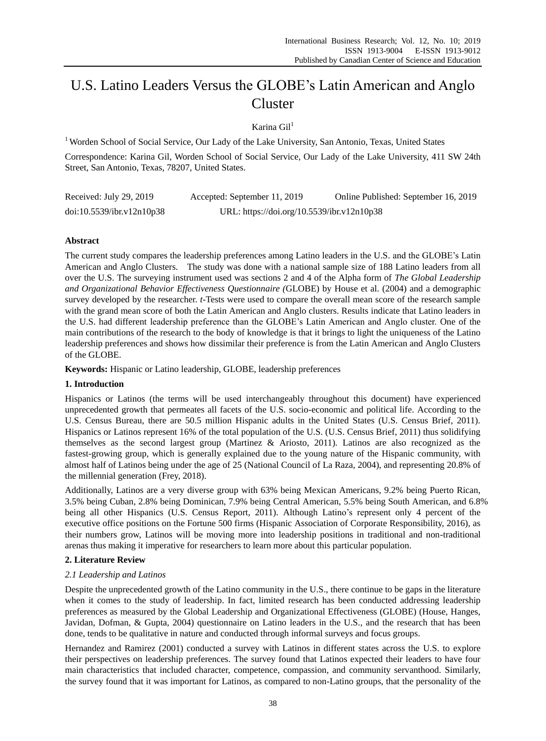# U.S. Latino Leaders Versus the GLOBE's Latin American and Anglo Cluster

# Karina  $Gi1$ <sup>1</sup>

<sup>1</sup> Worden School of Social Service, Our Lady of the Lake University, San Antonio, Texas, United States

Correspondence: Karina Gil, Worden School of Social Service, Our Lady of the Lake University, 411 SW 24th Street, San Antonio, Texas, 78207, United States.

| Received: July 29, 2019   | Accepted: September 11, 2019               | Online Published: September 16, 2019 |
|---------------------------|--------------------------------------------|--------------------------------------|
| doi:10.5539/ibr.v12n10p38 | URL: https://doi.org/10.5539/ibr.v12n10p38 |                                      |

# **Abstract**

The current study compares the leadership preferences among Latino leaders in the U.S. and the GLOBE's Latin American and Anglo Clusters. The study was done with a national sample size of 188 Latino leaders from all over the U.S. The surveying instrument used was sections 2 and 4 of the Alpha form of *The Global Leadership and Organizational Behavior Effectiveness Questionnaire (*GLOBE) by House et al. (2004) and a demographic survey developed by the researcher. *t-*Tests were used to compare the overall mean score of the research sample with the grand mean score of both the Latin American and Anglo clusters. Results indicate that Latino leaders in the U.S. had different leadership preference than the GLOBE's Latin American and Anglo cluster. One of the main contributions of the research to the body of knowledge is that it brings to light the uniqueness of the Latino leadership preferences and shows how dissimilar their preference is from the Latin American and Anglo Clusters of the GLOBE.

**Keywords:** Hispanic or Latino leadership, GLOBE, leadership preferences

# **1. Introduction**

Hispanics or Latinos (the terms will be used interchangeably throughout this document) have experienced unprecedented growth that permeates all facets of the U.S. socio-economic and political life. According to the U.S. Census Bureau, there are 50.5 million Hispanic adults in the United States (U.S. Census Brief, 2011). Hispanics or Latinos represent 16% of the total population of the U.S. (U.S. Census Brief, 2011) thus solidifying themselves as the second largest group (Martinez & Ariosto, 2011). Latinos are also recognized as the fastest-growing group, which is generally explained due to the young nature of the Hispanic community, with almost half of Latinos being under the age of 25 (National Council of La Raza, 2004), and representing 20.8% of the millennial generation (Frey, 2018).

Additionally, Latinos are a very diverse group with 63% being Mexican Americans, 9.2% being Puerto Rican, 3.5% being Cuban, 2.8% being Dominican, 7.9% being Central American, 5.5% being South American, and 6.8% being all other Hispanics (U.S. Census Report, 2011). Although Latino's represent only 4 percent of the executive office positions on the Fortune 500 firms (Hispanic Association of Corporate Responsibility, 2016), as their numbers grow, Latinos will be moving more into leadership positions in traditional and non-traditional arenas thus making it imperative for researchers to learn more about this particular population.

# **2. Literature Review**

# *2.1 Leadership and Latinos*

Despite the unprecedented growth of the Latino community in the U.S., there continue to be gaps in the literature when it comes to the study of leadership. In fact, limited research has been conducted addressing leadership preferences as measured by the Global Leadership and Organizational Effectiveness (GLOBE) (House, Hanges, Javidan, Dofman, & Gupta, 2004) questionnaire on Latino leaders in the U.S., and the research that has been done, tends to be qualitative in nature and conducted through informal surveys and focus groups.

Hernandez and Ramirez (2001) conducted a survey with Latinos in different states across the U.S. to explore their perspectives on leadership preferences. The survey found that Latinos expected their leaders to have four main characteristics that included character, competence, compassion, and community servanthood. Similarly, the survey found that it was important for Latinos, as compared to non-Latino groups, that the personality of the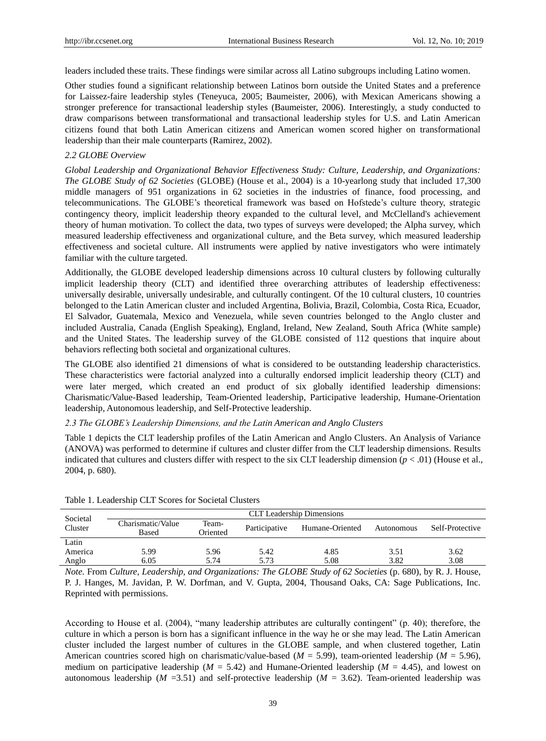leaders included these traits. These findings were similar across all Latino subgroups including Latino women.

Other studies found a significant relationship between Latinos born outside the United States and a preference for Laissez-faire leadership styles (Teneyuca, 2005; Baumeister, 2006), with Mexican Americans showing a stronger preference for transactional leadership styles (Baumeister, 2006). Interestingly, a study conducted to draw comparisons between transformational and transactional leadership styles for U.S. and Latin American citizens found that both Latin American citizens and American women scored higher on transformational leadership than their male counterparts (Ramirez, 2002).

# *2.2 GLOBE Overview*

*Global Leadership and Organizational Behavior Effectiveness Study: Culture, Leadership, and Organizations: The GLOBE Study of 62 Societies* (GLOBE) (House et al., 2004) is a 10-yearlong study that included 17,300 middle managers of 951 organizations in 62 societies in the industries of finance, food processing, and telecommunications. The GLOBE's theoretical framework was based on Hofstede's culture theory, strategic contingency theory, implicit leadership theory expanded to the cultural level, and McClelland's achievement theory of human motivation. To collect the data, two types of surveys were developed; the Alpha survey, which measured leadership effectiveness and organizational culture, and the Beta survey, which measured leadership effectiveness and societal culture. All instruments were applied by native investigators who were intimately familiar with the culture targeted.

Additionally, the GLOBE developed leadership dimensions across 10 cultural clusters by following culturally implicit leadership theory (CLT) and identified three overarching attributes of leadership effectiveness: universally desirable, universally undesirable, and culturally contingent. Of the 10 cultural clusters, 10 countries belonged to the Latin American cluster and included Argentina, Bolivia, Brazil, Colombia, Costa Rica, Ecuador, El Salvador, Guatemala, Mexico and Venezuela, while seven countries belonged to the Anglo cluster and included Australia, Canada (English Speaking), England, Ireland, New Zealand, South Africa (White sample) and the United States. The leadership survey of the GLOBE consisted of 112 questions that inquire about behaviors reflecting both societal and organizational cultures.

The GLOBE also identified 21 dimensions of what is considered to be outstanding leadership characteristics. These characteristics were factorial analyzed into a culturally endorsed implicit leadership theory (CLT) and were later merged, which created an end product of six globally identified leadership dimensions: Charismatic/Value-Based leadership, Team-Oriented leadership, Participative leadership, Humane-Orientation leadership, Autonomous leadership, and Self-Protective leadership.

# *2.3 The GLOBE's Leadership Dimensions, and the Latin American and Anglo Clusters*

Table 1 depicts the CLT leadership profiles of the Latin American and Anglo Clusters. An Analysis of Variance (ANOVA) was performed to determine if cultures and cluster differ from the CLT leadership dimensions. Results indicated that cultures and clusters differ with respect to the six CLT leadership dimension ( $p < .01$ ) (House et al., 2004, p. 680).

| <b>CLT</b> Leadership Dimensions |                   |               |      |                 |                 |  |  |  |
|----------------------------------|-------------------|---------------|------|-----------------|-----------------|--|--|--|
| Charismatic/Value<br>Based       | Team-<br>Oriented | Participative |      | Autonomous      | Self-Protective |  |  |  |
|                                  |                   |               |      |                 |                 |  |  |  |
| 5.99                             | 5.96              | 5.42          | 4.85 | 3.51            | 3.62            |  |  |  |
| 6.05                             | 5.74              | 5.73          | 5.08 | 3.82            | 3.08            |  |  |  |
|                                  |                   |               |      | Humane-Oriented |                 |  |  |  |

Table 1. Leadership CLT Scores for Societal Clusters

*Note.* From *Culture, Leadership, and Organizations: The GLOBE Study of 62 Societies (p. 680), by R. J. House,* P. J. Hanges, M. Javidan, P. W. Dorfman, and V. Gupta, 2004, Thousand Oaks, CA: Sage Publications, Inc. Reprinted with permissions.

According to House et al. (2004), "many leadership attributes are culturally contingent" (p. 40); therefore, the culture in which a person is born has a significant influence in the way he or she may lead. The Latin American cluster included the largest number of cultures in the GLOBE sample, and when clustered together, Latin American countries scored high on charismatic/value-based (*M* = 5.99), team-oriented leadership (*M* = 5.96), medium on participative leadership ( $M = 5.42$ ) and Humane-Oriented leadership ( $M = 4.45$ ), and lowest on autonomous leadership ( $M = 3.51$ ) and self-protective leadership ( $M = 3.62$ ). Team-oriented leadership was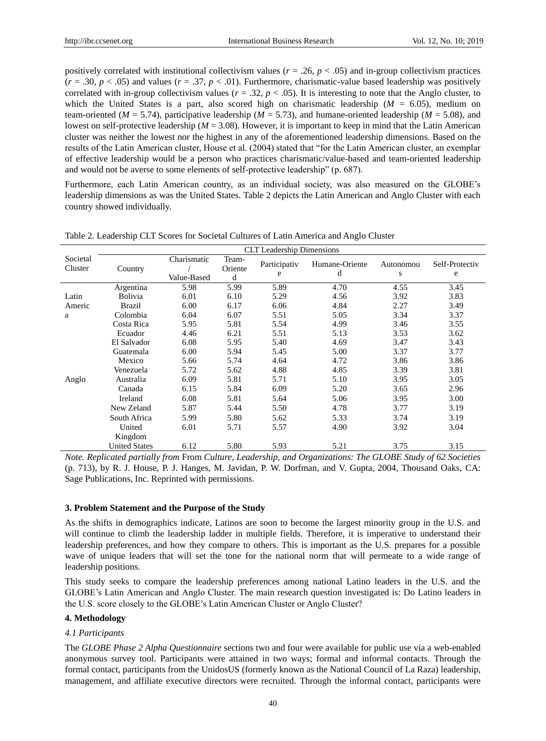positively correlated with institutional collectivism values ( $r = .26$ ,  $p < .05$ ) and in-group collectivism practices  $(r = .30, p < .05)$  and values  $(r = .37, p < .01)$ . Furthermore, charismatic-value based leadership was positively correlated with in-group collectivism values  $(r = .32, p < .05)$ . It is interesting to note that the Anglo cluster, to which the United States is a part, also scored high on charismatic leadership  $(M = 6.05)$ , medium on team-oriented ( $M = 5.74$ ), participative leadership ( $M = 5.73$ ), and humane-oriented leadership ( $M = 5.08$ ), and lowest on self-protective leadership (*M* = 3.08). However, it is important to keep in mind that the Latin American cluster was neither the lowest nor the highest in any of the aforementioned leadership dimensions. Based on the results of the Latin American cluster, House et al. (2004) stated that "for the Latin American cluster, an exemplar of effective leadership would be a person who practices charismatic/value-based and team-oriented leadership and would not be averse to some elements of self-protective leadership" (p. 687).

Furthermore, each Latin American country, as an individual society, was also measured on the GLOBE's leadership dimensions as was the United States. Table 2 depicts the Latin American and Anglo Cluster with each country showed individually.

|                     | <b>CLT</b> Leadership Dimensions |                            |                       |                   |                     |                |                     |  |  |
|---------------------|----------------------------------|----------------------------|-----------------------|-------------------|---------------------|----------------|---------------------|--|--|
| Societal<br>Cluster | Country                          | Charismatic<br>Value-Based | Team-<br>Oriente<br>d | Participativ<br>e | Humane-Oriente<br>d | Autonomou<br>S | Self-Protectiv<br>e |  |  |
|                     | Argentina                        | 5.98                       | 5.99                  | 5.89              | 4.70                | 4.55           | 3.45                |  |  |
| Latin               | <b>Bolivia</b>                   | 6.01                       | 6.10                  | 5.29              | 4.56                | 3.92           | 3.83                |  |  |
| Americ              | Brazil                           | 6.00                       | 6.17                  | 6.06              | 4.84                | 2.27           | 3.49                |  |  |
| a                   | Colombia                         | 6.04                       | 6.07                  | 5.51              | 5.05                | 3.34           | 3.37                |  |  |
|                     | Costa Rica                       | 5.95                       | 5.81                  | 5.54              | 4.99                | 3.46           | 3.55                |  |  |
|                     | Ecuador                          | 4.46                       | 6.21                  | 5.51              | 5.13                | 3.53           | 3.62                |  |  |
|                     | El Salvador                      | 6.08                       | 5.95                  | 5.40              | 4.69                | 3.47           | 3.43                |  |  |
|                     | Guatemala                        | 6.00                       | 5.94                  | 5.45              | 5.00                | 3.37           | 3.77                |  |  |
|                     | Mexico                           | 5.66                       | 5.74                  | 4.64              | 4.72                | 3.86           | 3.86                |  |  |
|                     | Venezuela                        | 5.72                       | 5.62                  | 4.88              | 4.85                | 3.39           | 3.81                |  |  |
| Anglo               | Australia                        | 6.09                       | 5.81                  | 5.71              | 5.10                | 3.95           | 3.05                |  |  |
|                     | Canada                           | 6.15                       | 5.84                  | 6.09              | 5.20                | 3.65           | 2.96                |  |  |
|                     | Ireland                          | 6.08                       | 5.81                  | 5.64              | 5.06                | 3.95           | 3.00                |  |  |
|                     | New Zeland                       | 5.87                       | 5.44                  | 5.50              | 4.78                | 3.77           | 3.19                |  |  |
|                     | South Africa                     | 5.99                       | 5.80                  | 5.62              | 5.33                | 3.74           | 3.19                |  |  |
|                     | United                           | 6.01                       | 5.71                  | 5.57              | 4.90                | 3.92           | 3.04                |  |  |
|                     | Kingdom                          |                            |                       |                   |                     |                |                     |  |  |
|                     | <b>United States</b>             | 6.12                       | 5.80                  | 5.93              | 5.21                | 3.75           | 3.15                |  |  |

Table 2. Leadership CLT Scores for Societal Cultures of Latin America and Anglo Cluster

*Note. Replicated partially from* From *Culture, Leadership, and Organizations: The GLOBE Study of 62 Societies*  (p. 713), by R. J. House, P. J. Hanges, M. Javidan, P. W. Dorfman, and V. Gupta, 2004, Thousand Oaks, CA: Sage Publications, Inc. Reprinted with permissions.

#### **3. Problem Statement and the Purpose of the Study**

As the shifts in demographics indicate, Latinos are soon to become the largest minority group in the U.S. and will continue to climb the leadership ladder in multiple fields. Therefore, it is imperative to understand their leadership preferences, and how they compare to others. This is important as the U.S. prepares for a possible wave of unique leaders that will set the tone for the national norm that will permeate to a wide range of leadership positions.

This study seeks to compare the leadership preferences among national Latino leaders in the U.S. and the GLOBE's Latin American and Anglo Cluster. The main research question investigated is: Do Latino leaders in the U.S. score closely to the GLOBE's Latin American Cluster or Anglo Cluster?

# **4. Methodology**

#### *4.1 Participants*

The *GLOBE Phase 2 Alpha Questionnaire* sections two and four were available for public use via a web-enabled anonymous survey tool. Participants were attained in two ways; formal and informal contacts. Through the formal contact, participants from the UnidosUS (formerly known as the National Council of La Raza) leadership, management, and affiliate executive directors were recruited. Through the informal contact, participants were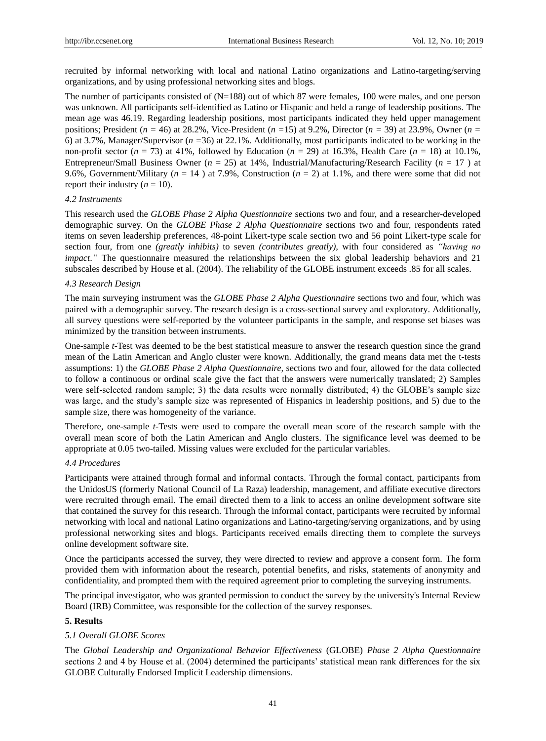recruited by informal networking with local and national Latino organizations and Latino-targeting/serving organizations, and by using professional networking sites and blogs.

The number of participants consisted of (N=188) out of which 87 were females, 100 were males, and one person was unknown. All participants self-identified as Latino or Hispanic and held a range of leadership positions. The mean age was 46.19. Regarding leadership positions, most participants indicated they held upper management positions; President (*n =* 46) at 28.2%, Vice-President (*n =*15) at 9.2%, Director (*n =* 39) at 23.9%, Owner (*n =*  6) at 3.7%, Manager/Supervisor (*n =*36) at 22.1%. Additionally, most participants indicated to be working in the non-profit sector  $(n = 73)$  at 41%, followed by Education  $(n = 29)$  at 16.3%, Health Care  $(n = 18)$  at 10.1%, Entrepreneur/Small Business Owner (*n* = 25) at 14%, Industrial/Manufacturing/Research Facility (*n* = 17 ) at 9.6%, Government/Military (*n* = 14 ) at 7.9%, Construction (*n* = 2) at 1.1%, and there were some that did not report their industry  $(n = 10)$ .

# *4.2 Instruments*

This research used the *GLOBE Phase 2 Alpha Questionnaire* sections two and four, and a researcher-developed demographic survey. On the *GLOBE Phase 2 Alpha Questionnaire* sections two and four, respondents rated items on seven leadership preferences, 48-point Likert-type scale section two and 56 point Likert-type scale for section four, from one *(greatly inhibits)* to seven *(contributes greatly),* with four considered as *"having no impact.*" The questionnaire measured the relationships between the six global leadership behaviors and 21 subscales described by House et al. (2004). The reliability of the GLOBE instrument exceeds .85 for all scales.

#### *4.3 Research Design*

The main surveying instrument was the *GLOBE Phase 2 Alpha Questionnaire* sections two and four, which was paired with a demographic survey. The research design is a cross-sectional survey and exploratory. Additionally, all survey questions were self-reported by the volunteer participants in the sample, and response set biases was minimized by the transition between instruments.

One-sample *t*-Test was deemed to be the best statistical measure to answer the research question since the grand mean of the Latin American and Anglo cluster were known. Additionally, the grand means data met the t-tests assumptions: 1) the *GLOBE Phase 2 Alpha Questionnaire,* sections two and four, allowed for the data collected to follow a continuous or ordinal scale give the fact that the answers were numerically translated; 2) Samples were self-selected random sample; 3) the data results were normally distributed; 4) the GLOBE's sample size was large, and the study's sample size was represented of Hispanics in leadership positions, and 5) due to the sample size, there was homogeneity of the variance.

Therefore, one-sample *t*-Tests were used to compare the overall mean score of the research sample with the overall mean score of both the Latin American and Anglo clusters. The significance level was deemed to be appropriate at 0.05 two-tailed. Missing values were excluded for the particular variables.

# *4.4 Procedures*

Participants were attained through formal and informal contacts. Through the formal contact, participants from the UnidosUS (formerly National Council of La Raza) leadership, management, and affiliate executive directors were recruited through email. The email directed them to a link to access an online development software site that contained the survey for this research. Through the informal contact, participants were recruited by informal networking with local and national Latino organizations and Latino-targeting/serving organizations, and by using professional networking sites and blogs. Participants received emails directing them to complete the surveys online development software site.

Once the participants accessed the survey, they were directed to review and approve a consent form. The form provided them with information about the research, potential benefits, and risks, statements of anonymity and confidentiality, and prompted them with the required agreement prior to completing the surveying instruments.

The principal investigator, who was granted permission to conduct the survey by the university's Internal Review Board (IRB) Committee, was responsible for the collection of the survey responses.

# **5. Results**

# *5.1 Overall GLOBE Scores*

The *Global Leadership and Organizational Behavior Effectiveness* (GLOBE) *Phase 2 Alpha Questionnaire*  sections 2 and 4 by House et al. (2004) determined the participants' statistical mean rank differences for the six GLOBE Culturally Endorsed Implicit Leadership dimensions.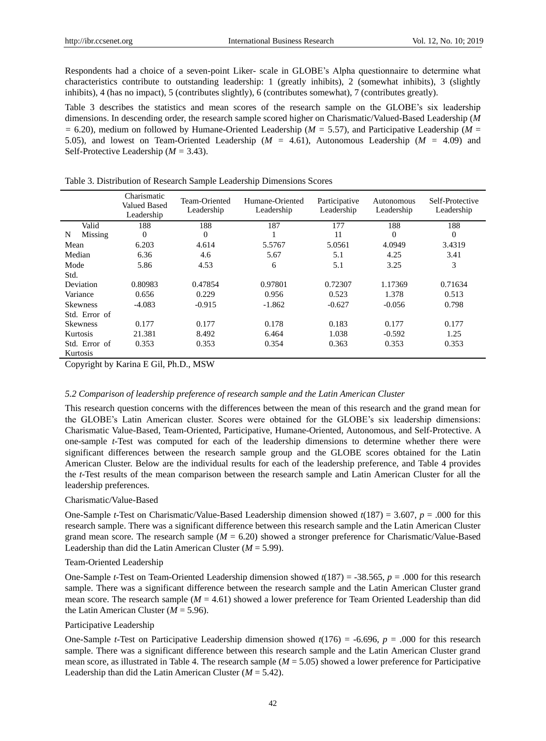Respondents had a choice of a seven-point Liker- scale in GLOBE's Alpha questionnaire to determine what characteristics contribute to outstanding leadership: 1 (greatly inhibits), 2 (somewhat inhibits), 3 (slightly inhibits), 4 (has no impact), 5 (contributes slightly), 6 (contributes somewhat), 7 (contributes greatly).

Table 3 describes the statistics and mean scores of the research sample on the GLOBE's six leadership dimensions. In descending order, the research sample scored higher on Charismatic/Valued-Based Leadership (*M =* 6.20), medium on followed by Humane-Oriented Leadership (*M =* 5.57), and Participative Leadership (*M* = 5.05), and lowest on Team-Oriented Leadership (*M =* 4.61), Autonomous Leadership (*M =* 4.09) and Self-Protective Leadership (*M =* 3.43).

|                 | Charismatic<br><b>Valued Based</b><br>Leadership | Team-Oriented<br>Leadership | Humane-Oriented<br>Leadership | Participative<br>Leadership | Autonomous<br>Leadership | Self-Protective<br>Leadership |
|-----------------|--------------------------------------------------|-----------------------------|-------------------------------|-----------------------------|--------------------------|-------------------------------|
| Valid           | 188                                              | 188                         | 187                           | 177                         | 188                      | 188                           |
| Missing<br>N    | $\overline{0}$                                   | $\theta$                    |                               | 11                          | $\theta$                 | $\mathbf{0}$                  |
| Mean            | 6.203                                            | 4.614                       | 5.5767                        | 5.0561                      | 4.0949                   | 3.4319                        |
| Median          | 6.36                                             | 4.6                         | 5.67                          | 5.1                         | 4.25                     | 3.41                          |
| Mode            | 5.86                                             | 4.53                        | 6                             | 5.1                         | 3.25                     | 3                             |
| Std.            |                                                  |                             |                               |                             |                          |                               |
| Deviation       | 0.80983                                          | 0.47854                     | 0.97801                       | 0.72307                     | 1.17369                  | 0.71634                       |
| Variance        | 0.656                                            | 0.229                       | 0.956                         | 0.523                       | 1.378                    | 0.513                         |
| <b>Skewness</b> | $-4.083$                                         | $-0.915$                    | $-1.862$                      | $-0.627$                    | $-0.056$                 | 0.798                         |
| Std. Error of   |                                                  |                             |                               |                             |                          |                               |
| <b>Skewness</b> | 0.177                                            | 0.177                       | 0.178                         | 0.183                       | 0.177                    | 0.177                         |
| Kurtosis        | 21.381                                           | 8.492                       | 6.464                         | 1.038                       | $-0.592$                 | 1.25                          |
| Std. Error of   | 0.353                                            | 0.353                       | 0.354                         | 0.363                       | 0.353                    | 0.353                         |
| Kurtosis        |                                                  |                             |                               |                             |                          |                               |

Table 3. Distribution of Research Sample Leadership Dimensions Scores

Copyright by Karina E Gil, Ph.D., MSW

## *5.2 Comparison of leadership preference of research sample and the Latin American Cluster*

This research question concerns with the differences between the mean of this research and the grand mean for the GLOBE's Latin American cluster. Scores were obtained for the GLOBE's six leadership dimensions: Charismatic Value-Based, Team-Oriented, Participative, Humane-Oriented, Autonomous, and Self-Protective. A one-sample *t*-Test was computed for each of the leadership dimensions to determine whether there were significant differences between the research sample group and the GLOBE scores obtained for the Latin American Cluster. Below are the individual results for each of the leadership preference, and Table 4 provides the *t*-Test results of the mean comparison between the research sample and Latin American Cluster for all the leadership preferences.

#### Charismatic/Value-Based

One-Sample *t*-Test on Charismatic/Value-Based Leadership dimension showed *t*(187) = 3.607, *p* = .000 for this research sample. There was a significant difference between this research sample and the Latin American Cluster grand mean score. The research sample (*M* = 6.20) showed a stronger preference for Charismatic/Value-Based Leadership than did the Latin American Cluster (*M* = 5.99).

#### Team-Oriented Leadership

One-Sample *t*-Test on Team-Oriented Leadership dimension showed *t*(187) = -38.565, *p* = .000 for this research sample. There was a significant difference between the research sample and the Latin American Cluster grand mean score. The research sample ( $M = 4.61$ ) showed a lower preference for Team Oriented Leadership than did the Latin American Cluster  $(M = 5.96)$ .

#### Participative Leadership

One-Sample *t*-Test on Participative Leadership dimension showed *t*(176) = -6.696, *p* = .000 for this research sample. There was a significant difference between this research sample and the Latin American Cluster grand mean score, as illustrated in Table 4. The research sample (*M* = 5.05) showed a lower preference for Participative Leadership than did the Latin American Cluster ( $M = 5.42$ ).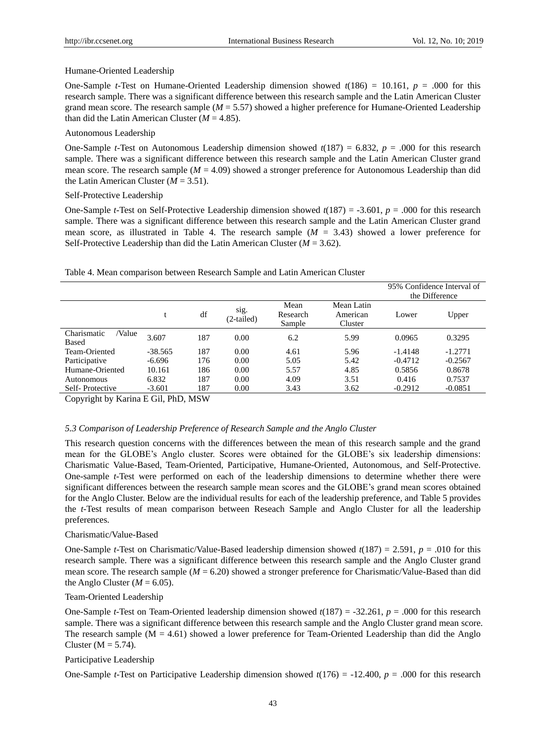#### Humane-Oriented Leadership

One-Sample *t*-Test on Humane-Oriented Leadership dimension showed  $t(186) = 10.161$ ,  $p = .000$  for this research sample. There was a significant difference between this research sample and the Latin American Cluster grand mean score. The research sample (*M* = 5.57) showed a higher preference for Humane-Oriented Leadership than did the Latin American Cluster  $(M = 4.85)$ .

# Autonomous Leadership

One-Sample *t*-Test on Autonomous Leadership dimension showed *t*(187) = 6.832, *p* = .000 for this research sample. There was a significant difference between this research sample and the Latin American Cluster grand mean score. The research sample (*M* = 4.09) showed a stronger preference for Autonomous Leadership than did the Latin American Cluster  $(M = 3.51)$ .

# Self-Protective Leadership

One-Sample *t*-Test on Self-Protective Leadership dimension showed *t*(187) = -3.601, *p* = .000 for this research sample. There was a significant difference between this research sample and the Latin American Cluster grand mean score, as illustrated in Table 4. The research sample  $(M = 3.43)$  showed a lower preference for Self-Protective Leadership than did the Latin American Cluster (*M* = 3.62).

# Table 4. Mean comparison between Research Sample and Latin American Cluster

|                                |           |     |                    |                            |                                   | 95% Confidence Interval of |           |  |
|--------------------------------|-----------|-----|--------------------|----------------------------|-----------------------------------|----------------------------|-----------|--|
|                                |           |     |                    |                            |                                   | the Difference             |           |  |
|                                |           | df  | sig.<br>(2-tailed) | Mean<br>Research<br>Sample | Mean Latin<br>American<br>Cluster | Lower                      | Upper     |  |
| Charismatic<br>/Value<br>Based | 3.607     | 187 | 0.00               | 6.2                        | 5.99                              | 0.0965                     | 0.3295    |  |
| Team-Oriented                  | $-38.565$ | 187 | 0.00               | 4.61                       | 5.96                              | $-1.4148$                  | $-1.2771$ |  |
| Participative                  | $-6.696$  | 176 | 0.00               | 5.05                       | 5.42                              | $-0.4712$                  | $-0.2567$ |  |
| Humane-Oriented                | 10.161    | 186 | 0.00               | 5.57                       | 4.85                              | 0.5856                     | 0.8678    |  |
| Autonomous                     | 6.832     | 187 | 0.00               | 4.09                       | 3.51                              | 0.416                      | 0.7537    |  |
| Self-Protective                | $-3.601$  | 187 | 0.00               | 3.43                       | 3.62                              | $-0.2912$                  | $-0.0851$ |  |

Copyright by Karina E Gil, PhD, MSW

# *5.3 Comparison of Leadership Preference of Research Sample and the Anglo Cluster*

This research question concerns with the differences between the mean of this research sample and the grand mean for the GLOBE's Anglo cluster. Scores were obtained for the GLOBE's six leadership dimensions: Charismatic Value-Based, Team-Oriented, Participative, Humane-Oriented, Autonomous, and Self-Protective. One-sample *t*-Test were performed on each of the leadership dimensions to determine whether there were significant differences between the research sample mean scores and the GLOBE's grand mean scores obtained for the Anglo Cluster. Below are the individual results for each of the leadership preference, and Table 5 provides the *t*-Test results of mean comparison between Reseach Sample and Anglo Cluster for all the leadership preferences.

# Charismatic/Value-Based

One-Sample *t*-Test on Charismatic/Value-Based leadership dimension showed *t*(187) = 2.591, *p* = .010 for this research sample. There was a significant difference between this research sample and the Anglo Cluster grand mean score. The research sample ( $M = 6.20$ ) showed a stronger preference for Charismatic/Value-Based than did the Anglo Cluster  $(M = 6.05)$ .

#### Team-Oriented Leadership

One-Sample *t*-Test on Team-Oriented leadership dimension showed *t*(187) = -32.261, *p* = .000 for this research sample. There was a significant difference between this research sample and the Anglo Cluster grand mean score. The research sample  $(M = 4.61)$  showed a lower preference for Team-Oriented Leadership than did the Anglo Cluster ( $M = 5.74$ ).

# Participative Leadership

One-Sample *t*-Test on Participative Leadership dimension showed *t*(176) = -12.400, *p* = .000 for this research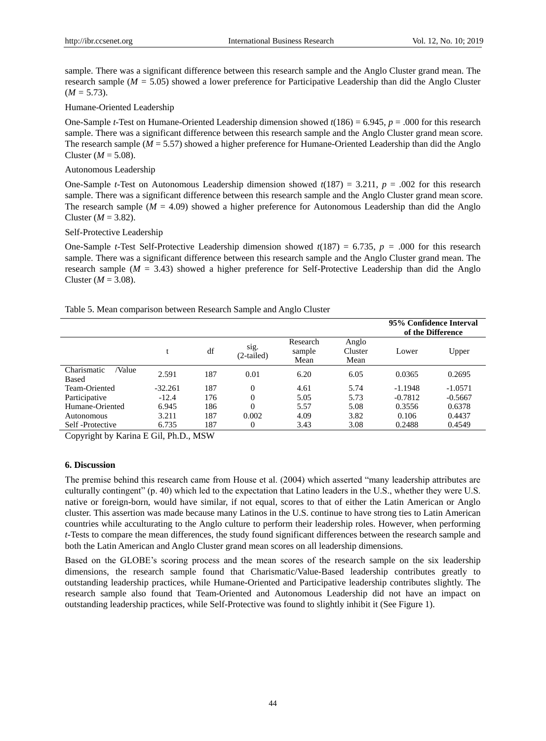sample. There was a significant difference between this research sample and the Anglo Cluster grand mean. The research sample (*M =* 5.05) showed a lower preference for Participative Leadership than did the Anglo Cluster  $(M = 5.73)$ .

# Humane-Oriented Leadership

One-Sample *t*-Test on Humane-Oriented Leadership dimension showed *t*(186) = 6.945, *p* = .000 for this research sample. There was a significant difference between this research sample and the Anglo Cluster grand mean score. The research sample (*M* = 5.57) showed a higher preference for Humane-Oriented Leadership than did the Anglo Cluster ( $M = 5.08$ ).

### Autonomous Leadership

One-Sample *t*-Test on Autonomous Leadership dimension showed *t*(187) = 3.211, *p* = .002 for this research sample. There was a significant difference between this research sample and the Anglo Cluster grand mean score. The research sample  $(M = 4.09)$  showed a higher preference for Autonomous Leadership than did the Anglo Cluster  $(M = 3.82)$ .

#### Self-Protective Leadership

One-Sample *t*-Test Self-Protective Leadership dimension showed *t*(187) = 6.735, *p =* .000 for this research sample. There was a significant difference between this research sample and the Anglo Cluster grand mean. The research sample (*M* = 3.43) showed a higher preference for Self-Protective Leadership than did the Anglo Cluster  $(M = 3.08)$ .

# Table 5. Mean comparison between Research Sample and Anglo Cluster

|                                |           |     |                    |                            |                          | 95% Confidence Interval<br>of the Difference |           |
|--------------------------------|-----------|-----|--------------------|----------------------------|--------------------------|----------------------------------------------|-----------|
|                                |           | df  | sig.<br>(2-tailed) | Research<br>sample<br>Mean | Anglo<br>Cluster<br>Mean | Lower                                        | Upper     |
| Charismatic<br>/Value<br>Based | 2.591     | 187 | 0.01               | 6.20                       | 6.05                     | 0.0365                                       | 0.2695    |
| Team-Oriented                  | $-32.261$ | 187 | $\Omega$           | 4.61                       | 5.74                     | $-1.1948$                                    | $-1.0571$ |
| Participative                  | $-12.4$   | 176 | $\Omega$           | 5.05                       | 5.73                     | $-0.7812$                                    | $-0.5667$ |
| Humane-Oriented                | 6.945     | 186 | $\Omega$           | 5.57                       | 5.08                     | 0.3556                                       | 0.6378    |
| Autonomous                     | 3.211     | 187 | 0.002              | 4.09                       | 3.82                     | 0.106                                        | 0.4437    |
| Self-Protective                | 6.735     | 187 | 0                  | 3.43                       | 3.08                     | 0.2488                                       | 0.4549    |

Copyright by Karina E Gil, Ph.D., MSW

#### **6. Discussion**

The premise behind this research came from House et al. (2004) which asserted "many leadership attributes are culturally contingent" (p. 40) which led to the expectation that Latino leaders in the U.S., whether they were U.S. native or foreign-born, would have similar, if not equal, scores to that of either the Latin American or Anglo cluster. This assertion was made because many Latinos in the U.S. continue to have strong ties to Latin American countries while acculturating to the Anglo culture to perform their leadership roles. However, when performing *t*-Tests to compare the mean differences, the study found significant differences between the research sample and both the Latin American and Anglo Cluster grand mean scores on all leadership dimensions.

Based on the GLOBE's scoring process and the mean scores of the research sample on the six leadership dimensions, the research sample found that Charismatic/Value-Based leadership contributes greatly to outstanding leadership practices, while Humane-Oriented and Participative leadership contributes slightly. The research sample also found that Team-Oriented and Autonomous Leadership did not have an impact on outstanding leadership practices, while Self-Protective was found to slightly inhibit it (See Figure 1).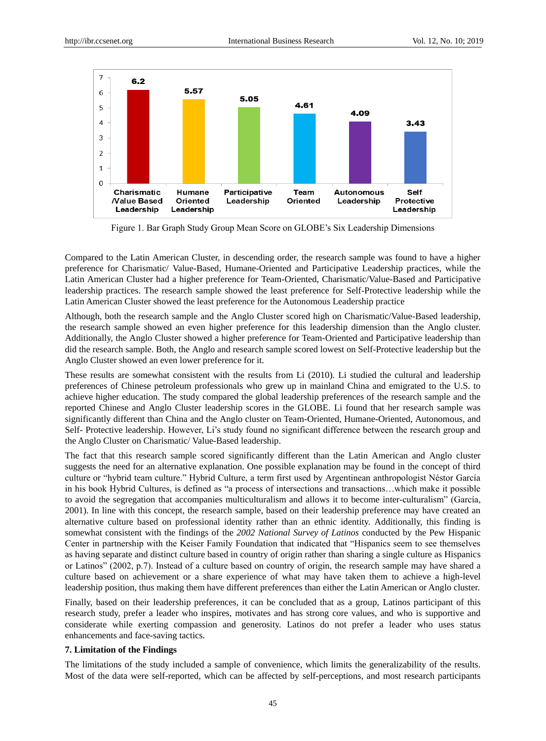

Figure 1. Bar Graph Study Group Mean Score on GLOBE's Six Leadership Dimensions

Compared to the Latin American Cluster, in descending order, the research sample was found to have a higher preference for Charismatic/ Value-Based, Humane-Oriented and Participative Leadership practices, while the Latin American Cluster had a higher preference for Team-Oriented, Charismatic/Value-Based and Participative leadership practices. The research sample showed the least preference for Self-Protective leadership while the Latin American Cluster showed the least preference for the Autonomous Leadership practice

Although, both the research sample and the Anglo Cluster scored high on Charismatic/Value-Based leadership, the research sample showed an even higher preference for this leadership dimension than the Anglo cluster. Additionally, the Anglo Cluster showed a higher preference for Team-Oriented and Participative leadership than did the research sample. Both, the Anglo and research sample scored lowest on Self-Protective leadership but the Anglo Cluster showed an even lower preference for it.

These results are somewhat consistent with the results from Li (2010). Li studied the cultural and leadership preferences of Chinese petroleum professionals who grew up in mainland China and emigrated to the U.S. to achieve higher education. The study compared the global leadership preferences of the research sample and the reported Chinese and Anglo Cluster leadership scores in the GLOBE. Li found that her research sample was significantly different than China and the Anglo cluster on Team-Oriented, Humane-Oriented, Autonomous, and Self- Protective leadership. However, Li's study found no significant difference between the research group and the Anglo Cluster on Charismatic/ Value-Based leadership.

The fact that this research sample scored significantly different than the Latin American and Anglo cluster suggests the need for an alternative explanation. One possible explanation may be found in the concept of third culture or "hybrid team culture." Hybrid Culture, a term first used by Argentinean anthropologist Néstor García in his book Hybrid Cultures, is defined as "a process of intersections and transactions…which make it possible to avoid the segregation that accompanies multiculturalism and allows it to become inter-culturalism" (García, 2001). In line with this concept, the research sample, based on their leadership preference may have created an alternative culture based on professional identity rather than an ethnic identity. Additionally, this finding is somewhat consistent with the findings of the *2002 National Survey of Latinos* conducted by the Pew Hispanic Center in partnership with the Keiser Family Foundation that indicated that "Hispanics seem to see themselves as having separate and distinct culture based in country of origin rather than sharing a single culture as Hispanics or Latinos" (2002, p.7). Instead of a culture based on country of origin, the research sample may have shared a culture based on achievement or a share experience of what may have taken them to achieve a high-level leadership position, thus making them have different preferences than either the Latin American or Anglo cluster.

Finally, based on their leadership preferences, it can be concluded that as a group, Latinos participant of this research study, prefer a leader who inspires, motivates and has strong core values, and who is supportive and considerate while exerting compassion and generosity. Latinos do not prefer a leader who uses status enhancements and face-saving tactics.

#### **7. Limitation of the Findings**

The limitations of the study included a sample of convenience, which limits the generalizability of the results. Most of the data were self-reported, which can be affected by self-perceptions, and most research participants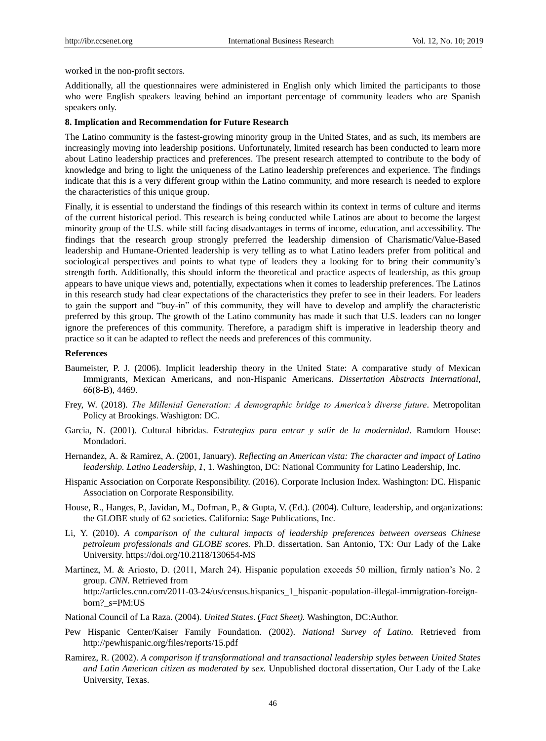worked in the non-profit sectors.

Additionally, all the questionnaires were administered in English only which limited the participants to those who were English speakers leaving behind an important percentage of community leaders who are Spanish speakers only.

#### **8. Implication and Recommendation for Future Research**

The Latino community is the fastest-growing minority group in the United States, and as such, its members are increasingly moving into leadership positions. Unfortunately, limited research has been conducted to learn more about Latino leadership practices and preferences. The present research attempted to contribute to the body of knowledge and bring to light the uniqueness of the Latino leadership preferences and experience. The findings indicate that this is a very different group within the Latino community, and more research is needed to explore the characteristics of this unique group.

Finally, it is essential to understand the findings of this research within its context in terms of culture and iterms of the current historical period. This research is being conducted while Latinos are about to become the largest minority group of the U.S. while still facing disadvantages in terms of income, education, and accessibility. The findings that the research group strongly preferred the leadership dimension of Charismatic/Value-Based leadership and Humane-Oriented leadership is very telling as to what Latino leaders prefer from political and sociological perspectives and points to what type of leaders they a looking for to bring their community's strength forth. Additionally, this should inform the theoretical and practice aspects of leadership, as this group appears to have unique views and, potentially, expectations when it comes to leadership preferences. The Latinos in this research study had clear expectations of the characteristics they prefer to see in their leaders. For leaders to gain the support and "buy-in" of this community, they will have to develop and amplify the characteristic preferred by this group. The growth of the Latino community has made it such that U.S. leaders can no longer ignore the preferences of this community. Therefore, a paradigm shift is imperative in leadership theory and practice so it can be adapted to reflect the needs and preferences of this community.

# **References**

- Baumeister, P. J. (2006). Implicit leadership theory in the United State: A comparative study of Mexican Immigrants, Mexican Americans, and non-Hispanic Americans. *Dissertation Abstracts International, 66*(8-B), 4469.
- Frey, W. (2018). *The Millenial Generation: A demographic bridge to America's diverse future*. Metropolitan Policy at Brookings. Washigton: DC.
- Garcia, N. (2001). Cultural hibridas. *Estrategias para entrar y salir de la modernidad*. Ramdom House: Mondadori.
- Hernandez, A. & Ramirez, A. (2001, January). *Reflecting an American vista: The character and impact of Latino leadership. Latino Leadership, 1*, 1. Washington, DC: National Community for Latino Leadership, Inc.
- Hispanic Association on Corporate Responsibility. (2016). Corporate Inclusion Index. Washington: DC. Hispanic Association on Corporate Responsibility.
- House, R., Hanges, P., Javidan, M., Dofman, P., & Gupta, V. (Ed.). (2004). Culture, leadership, and organizations: the GLOBE study of 62 societies. California: Sage Publications, Inc.
- Li, Y. (2010). *A comparison of the cultural impacts of leadership preferences between overseas Chinese petroleum professionals and GLOBE scores.* Ph.D. dissertation. San Antonio, TX: Our Lady of the Lake University. https://doi.org/10.2118/130654-MS
- Martinez, M. & Ariosto, D. (2011, March 24). Hispanic population exceeds 50 million, firmly nation's No. 2 group. *CNN.* Retrieved from http://articles.cnn.com/2011-03-24/us/census.hispanics 1 hispanic-population-illegal-immigration-foreignborn? s=PM:US
- National Council of La Raza. (2004). *United States*. (*Fact Sheet).* Washington, DC:Author.
- Pew Hispanic Center/Kaiser Family Foundation. (2002). *National Survey of Latino.* Retrieved from http://pewhispanic.org/files/reports/15.pdf
- Ramirez, R. (2002). *A comparison if transformational and transactional leadership styles between United States and Latin American citizen as moderated by sex.* Unpublished doctoral dissertation, Our Lady of the Lake University, Texas.